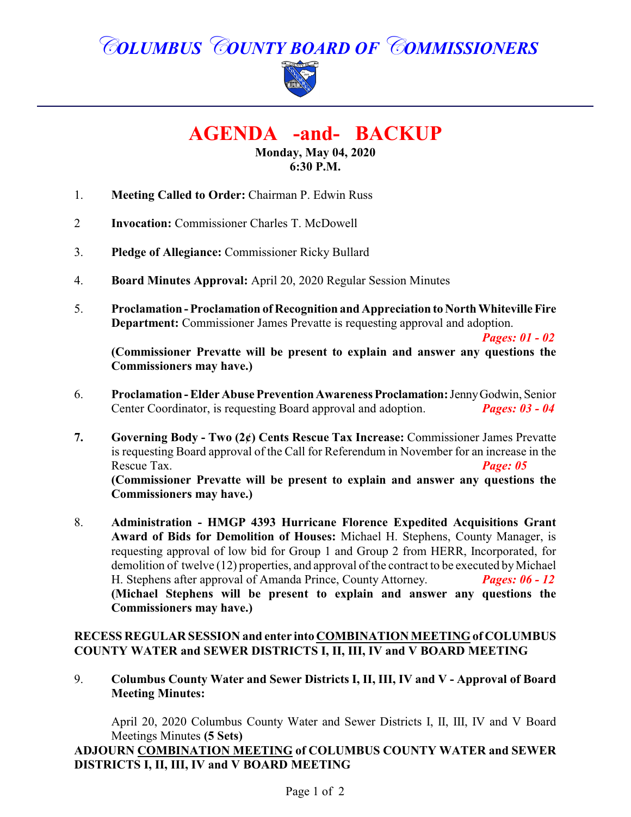# *COLUMBUS COUNTY BOARD OF COMMISSIONERS*



**AGENDA -and- BACKUP**

**Monday, May 04, 2020 6:30 P.M.**

- 1. **Meeting Called to Order:** Chairman P. Edwin Russ
- 2 **Invocation:** Commissioner Charles T. McDowell
- 3. **Pledge of Allegiance:** Commissioner Ricky Bullard
- 4. **Board Minutes Approval:** April 20, 2020 Regular Session Minutes
- 5. **Proclamation Proclamation of Recognition and Appreciation to North Whiteville Fire Department:** Commissioner James Prevatte is requesting approval and adoption.

*Pages: 01 - 02* **(Commissioner Prevatte will be present to explain and answer any questions the Commissioners may have.)**

- 6. **Proclamation Elder Abuse Prevention Awareness Proclamation:**JennyGodwin, Senior Center Coordinator, is requesting Board approval and adoption.
- **7. Governing Body Two (2¢) Cents Rescue Tax Increase:** Commissioner James Prevatte is requesting Board approval of the Call for Referendum in November for an increase in the Rescue Tax. *Page: 05* **(Commissioner Prevatte will be present to explain and answer any questions the Commissioners may have.)**
- 8. **Administration HMGP 4393 Hurricane Florence Expedited Acquisitions Grant Award of Bids for Demolition of Houses:** Michael H. Stephens, County Manager, is requesting approval of low bid for Group 1 and Group 2 from HERR, Incorporated, for demolition of twelve (12) properties, and approval of the contract to be executed byMichael H. Stephens after approval of Amanda Prince, County Attorney. *Pages: 06 - 12* **(Michael Stephens will be present to explain and answer any questions the Commissioners may have.)**

#### **RECESS REGULAR SESSION and enter into COMBINATION MEETING of COLUMBUS COUNTY WATER and SEWER DISTRICTS I, II, III, IV and V BOARD MEETING**

9. **Columbus County Water and Sewer Districts I, II, III, IV and V - Approval of Board Meeting Minutes:**

April 20, 2020 Columbus County Water and Sewer Districts I, II, III, IV and V Board Meetings Minutes **(5 Sets)**

#### **ADJOURN COMBINATION MEETING of COLUMBUS COUNTY WATER and SEWER DISTRICTS I, II, III, IV and V BOARD MEETING**